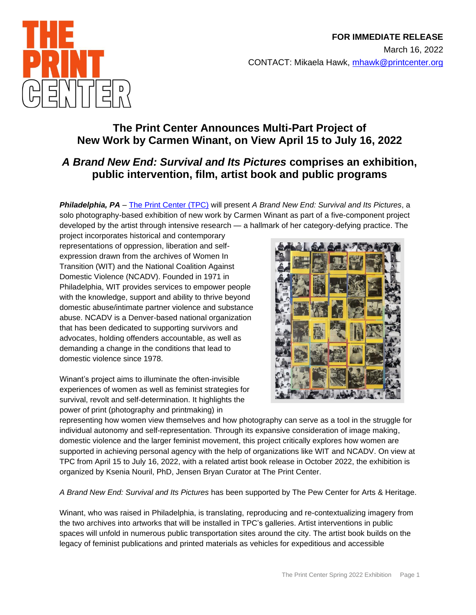

# **The Print Center Announces Multi-Part Project of New Work by Carmen Winant, on View April 15 to July 16, 2022**

# *A Brand New End: Survival and Its Pictures* **comprises an exhibition, public intervention, film, artist book and public programs**

*Philadelphia, PA* – [The Print Center \(TPC\)](http://printcenter.org/100/) will present *A Brand New End: Survival and Its Pictures*, a solo photography-based exhibition of new work by Carmen Winant as part of a five-component project developed by the artist through intensive research — a hallmark of her category-defying practice. The

project incorporates historical and contemporary representations of oppression, liberation and selfexpression drawn from the archives of Women In Transition (WIT) and the National Coalition Against Domestic Violence (NCADV). Founded in 1971 in Philadelphia, WIT provides services to empower people with the knowledge, support and ability to thrive beyond domestic abuse/intimate partner violence and substance abuse. NCADV is a Denver-based national organization that has been dedicated to supporting survivors and advocates, holding offenders accountable, as well as demanding a change in the conditions that lead to domestic violence since 1978.

Winant's project aims to illuminate the often-invisible experiences of women as well as feminist strategies for survival, revolt and self-determination. It highlights the power of print (photography and printmaking) in



representing how women view themselves and how photography can serve as a tool in the struggle for individual autonomy and self-representation. Through its expansive consideration of image making, domestic violence and the larger feminist movement, this project critically explores how women are supported in achieving personal agency with the help of organizations like WIT and NCADV. On view at TPC from April 15 to July 16, 2022, with a related artist book release in October 2022, the exhibition is organized by Ksenia Nouril, PhD, Jensen Bryan Curator at The Print Center.

*A Brand New End: Survival and Its Pictures* has been supported by The Pew Center for Arts & Heritage.

Winant, who was raised in Philadelphia, is translating, reproducing and re-contextualizing imagery from the two archives into artworks that will be installed in TPC's galleries. Artist interventions in public spaces will unfold in numerous public transportation sites around the city. The artist book builds on the legacy of feminist publications and printed materials as vehicles for expeditious and accessible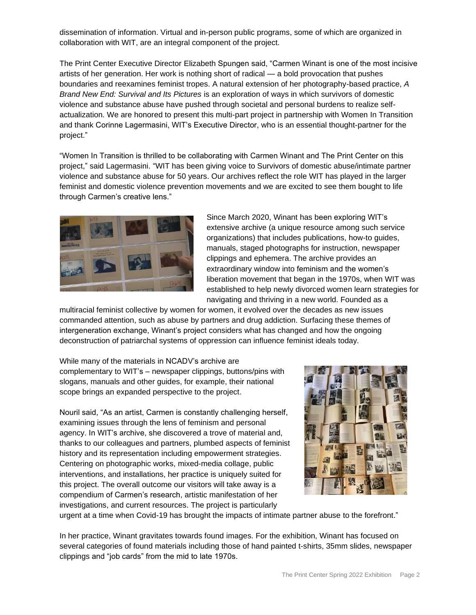dissemination of information. Virtual and in-person public programs, some of which are organized in collaboration with WIT, are an integral component of the project.

The Print Center Executive Director Elizabeth Spungen said, "Carmen Winant is one of the most incisive artists of her generation. Her work is nothing short of radical — a bold provocation that pushes boundaries and reexamines feminist tropes. A natural extension of her photography-based practice, *A Brand New End: Survival and Its Pictures* is an exploration of ways in which survivors of domestic violence and substance abuse have pushed through societal and personal burdens to realize selfactualization. We are honored to present this multi-part project in partnership with Women In Transition and thank Corinne Lagermasini, WIT's Executive Director, who is an essential thought-partner for the project."

"Women In Transition is thrilled to be collaborating with Carmen Winant and The Print Center on this project," said Lagermasini. "WIT has been giving voice to Survivors of domestic abuse/intimate partner violence and substance abuse for 50 years. Our archives reflect the role WIT has played in the larger feminist and domestic violence prevention movements and we are excited to see them bought to life through Carmen's creative lens."



Since March 2020, Winant has been exploring WIT's extensive archive (a unique resource among such service organizations) that includes publications, how-to guides, manuals, staged photographs for instruction, newspaper clippings and ephemera. The archive provides an extraordinary window into feminism and the women's liberation movement that began in the 1970s, when WIT was established to help newly divorced women learn strategies for navigating and thriving in a new world. Founded as a

multiracial feminist collective by women for women, it evolved over the decades as new issues commanded attention, such as abuse by partners and drug addiction. Surfacing these themes of intergeneration exchange, Winant's project considers what has changed and how the ongoing deconstruction of patriarchal systems of oppression can influence feminist ideals today*.* 

While many of the materials in NCADV's archive are complementary to WIT's – newspaper clippings, buttons/pins with slogans, manuals and other guides, for example, their national scope brings an expanded perspective to the project.

Nouril said, "As an artist, Carmen is constantly challenging herself, examining issues through the lens of feminism and personal agency. In WIT's archive, she discovered a trove of material and, thanks to our colleagues and partners, plumbed aspects of feminist history and its representation including empowerment strategies. Centering on photographic works, mixed-media collage, public interventions, and installations, her practice is uniquely suited for this project. The overall outcome our visitors will take away is a compendium of Carmen's research, artistic manifestation of her investigations, and current resources. The project is particularly



urgent at a time when Covid-19 has brought the impacts of intimate partner abuse to the forefront."

In her practice, Winant gravitates towards found images. For the exhibition, Winant has focused on several categories of found materials including those of hand painted t-shirts, 35mm slides, newspaper clippings and "job cards" from the mid to late 1970s.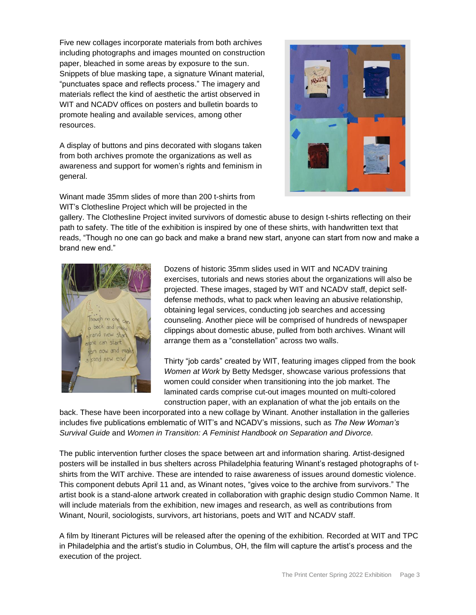Five new collages incorporate materials from both archives including photographs and images mounted on construction paper, bleached in some areas by exposure to the sun. Snippets of blue masking tape, a signature Winant material, "punctuates space and reflects process." The imagery and materials reflect the kind of aesthetic the artist observed in WIT and NCADV offices on posters and bulletin boards to promote healing and available services, among other resources.

A display of buttons and pins decorated with slogans taken from both archives promote the organizations as well as awareness and support for women's rights and feminism in general.



Winant made 35mm slides of more than 200 t-shirts from WIT's Clothesline Project which will be projected in the

gallery. The Clothesline Project invited survivors of domestic abuse to design t-shirts reflecting on their path to safety. The title of the exhibition is inspired by one of these shirts, with handwritten text that reads, "Though no one can go back and make a brand new start, anyone can start from now and make a brand new end."



Dozens of historic 35mm slides used in WIT and NCADV training exercises, tutorials and news stories about the organizations will also be projected. These images, staged by WIT and NCADV staff, depict selfdefense methods, what to pack when leaving an abusive relationship, obtaining legal services, conducting job searches and accessing counseling. Another piece will be comprised of hundreds of newspaper clippings about domestic abuse, pulled from both archives. Winant will arrange them as a "constellation" across two walls.

Thirty "job cards" created by WIT, featuring images clipped from the book *Women at Work* by Betty Medsger, showcase various professions that women could consider when transitioning into the job market. The laminated cards comprise cut-out images mounted on multi-colored construction paper, with an explanation of what the job entails on the

back. These have been incorporated into a new collage by Winant. Another installation in the galleries includes five publications emblematic of WIT's and NCADV's missions, such as *The New Woman's Survival Guide* and *Women in Transition: A Feminist Handbook on Separation and Divorce.*

The public intervention further closes the space between art and information sharing. Artist-designed posters will be installed in bus shelters across Philadelphia featuring Winant's restaged photographs of tshirts from the WIT archive. These are intended to raise awareness of issues around domestic violence. This component debuts April 11 and, as Winant notes, "gives voice to the archive from survivors." The artist book is a stand-alone artwork created in collaboration with graphic design studio Common Name. It will include materials from the exhibition, new images and research, as well as contributions from Winant, Nouril, sociologists, survivors, art historians, poets and WIT and NCADV staff.

A film by Itinerant Pictures will be released after the opening of the exhibition. Recorded at WIT and TPC in Philadelphia and the artist's studio in Columbus, OH, the film will capture the artist's process and the execution of the project.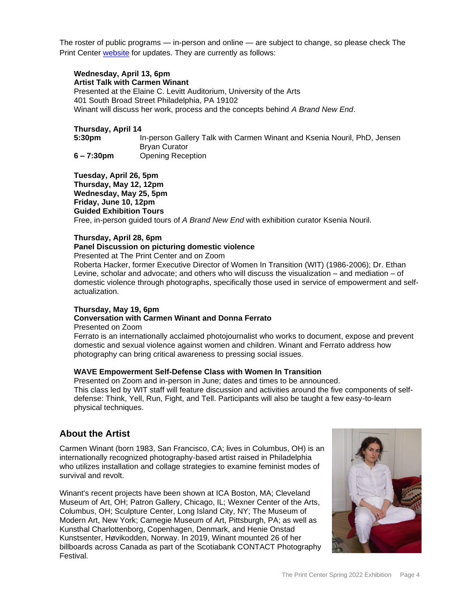The roster of public programs — in-person and online — are subject to change, so please check The Print Center [website](http://printcenter.org/100/a-brand-new-end/) for updates. They are currently as follows:

#### **Wednesday, April 13, 6pm Artist Talk with Carmen Winant**

Presented at the Elaine C. Levitt Auditorium, University of the Arts 401 South Broad Street Philadelphia, PA 19102 Winant will discuss her work, process and the concepts behind *A Brand New End*.

### **Thursday, April 14**

**5:30pm** In-person Gallery Talk with Carmen Winant and Ksenia Nouril, PhD, Jensen Bryan Curator **6 – 7:30pm** Opening Reception

**Tuesday, April 26, 5pm Thursday, May 12, 12pm Wednesday, May 25, 5pm Friday, June 10, 12pm Guided Exhibition Tours** Free, in-person guided tours of *A Brand New End* with exhibition curator Ksenia Nouril.

### **Thursday, April 28, 6pm**

### **Panel Discussion on picturing domestic violence**

Presented at The Print Center and on Zoom

Roberta Hacker, former Executive Director of Women In Transition (WIT) (1986-2006); Dr. Ethan Levine, scholar and advocate; and others who will discuss the visualization – and mediation – of domestic violence through photographs, specifically those used in service of empowerment and selfactualization.

# **Thursday, May 19, 6pm**

# **Conversation with Carmen Winant and Donna Ferrato**

Presented on Zoom

Ferrato is an internationally acclaimed photojournalist who works to document, expose and prevent domestic and sexual violence against women and children. Winant and Ferrato address how photography can bring critical awareness to pressing social issues.

## **WAVE Empowerment Self-Defense Class with Women In Transition**

Presented on Zoom and in-person in June; dates and times to be announced. This class led by WIT staff will feature discussion and activities around the five components of selfdefense: Think, Yell, Run, Fight, and Tell. Participants will also be taught a few easy-to-learn physical techniques.

# **About the Artist**

Carmen Winant (born 1983, San Francisco, CA; lives in Columbus, OH) is an internationally recognized photography-based artist raised in Philadelphia who utilizes installation and collage strategies to examine feminist modes of survival and revolt.

Winant's recent projects have been shown at ICA Boston, MA; Cleveland Museum of Art, OH; Patron Gallery, Chicago, IL; Wexner Center of the Arts, Columbus, OH; Sculpture Center, Long Island City, NY; The Museum of Modern Art, New York; Carnegie Museum of Art, Pittsburgh, PA; as well as Kunsthal Charlottenborg, Copenhagen, Denmark, and Henie Onstad Kunstsenter, Høvikodden, Norway. In 2019, Winant mounted 26 of her billboards across Canada as part of the Scotiabank CONTACT Photography Festival.